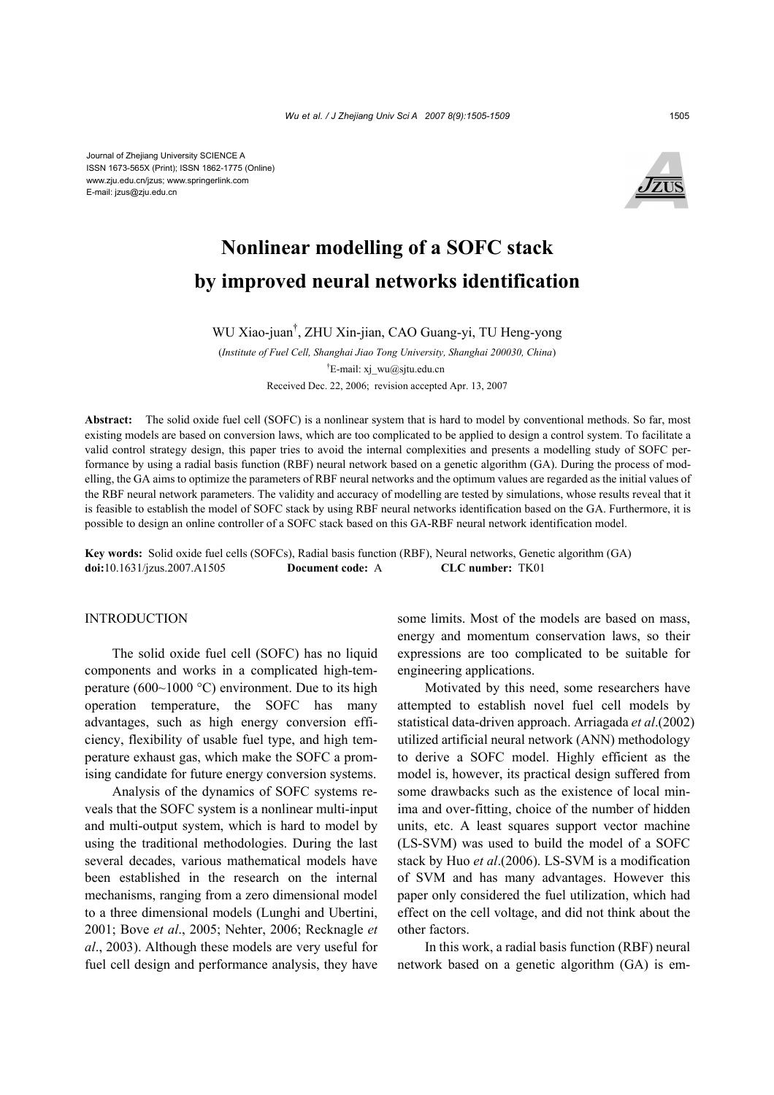Journal of Zhejiang University SCIENCE A ISSN 1673-565X (Print); ISSN 1862-1775 (Online) www.zju.edu.cn/jzus; www.springerlink.com E-mail: jzus@zju.edu.cn



# **Nonlinear modelling of a SOFC stack by improved neural networks identification**

WU Xiao-juan† , ZHU Xin-jian, CAO Guang-yi, TU Heng-yong

(*Institute of Fuel Cell, Shanghai Jiao Tong University, Shanghai 200030, China*) † E-mail: xj\_wu@sjtu.edu.cn Received Dec. 22, 2006; revision accepted Apr. 13, 2007

**Abstract:** The solid oxide fuel cell (SOFC) is a nonlinear system that is hard to model by conventional methods. So far, most existing models are based on conversion laws, which are too complicated to be applied to design a control system. To facilitate a valid control strategy design, this paper tries to avoid the internal complexities and presents a modelling study of SOFC performance by using a radial basis function (RBF) neural network based on a genetic algorithm (GA). During the process of modelling, the GA aims to optimize the parameters of RBF neural networks and the optimum values are regarded as the initial values of the RBF neural network parameters. The validity and accuracy of modelling are tested by simulations, whose results reveal that it is feasible to establish the model of SOFC stack by using RBF neural networks identification based on the GA. Furthermore, it is possible to design an online controller of a SOFC stack based on this GA-RBF neural network identification model.

**Key words:** Solid oxide fuel cells (SOFCs), Radial basis function (RBF), Neural networks, Genetic algorithm (GA) **doi:**10.1631/jzus.2007.A1505 **Document code:** A **CLC number:** TK01

# **INTRODUCTION**

The solid oxide fuel cell (SOFC) has no liquid components and works in a complicated high-temperature (600~1000 °C) environment. Due to its high operation temperature, the SOFC has many advantages, such as high energy conversion efficiency, flexibility of usable fuel type, and high temperature exhaust gas, which make the SOFC a promising candidate for future energy conversion systems.

Analysis of the dynamics of SOFC systems reveals that the SOFC system is a nonlinear multi-input and multi-output system, which is hard to model by using the traditional methodologies. During the last several decades, various mathematical models have been established in the research on the internal mechanisms, ranging from a zero dimensional model to a three dimensional models (Lunghi and Ubertini, 2001; Bove *et al*., 2005; Nehter, 2006; Recknagle *et al*., 2003). Although these models are very useful for fuel cell design and performance analysis, they have some limits. Most of the models are based on mass, energy and momentum conservation laws, so their expressions are too complicated to be suitable for engineering applications.

Motivated by this need, some researchers have attempted to establish novel fuel cell models by statistical data-driven approach. Arriagada *et al*.(2002) utilized artificial neural network (ANN) methodology to derive a SOFC model. Highly efficient as the model is, however, its practical design suffered from some drawbacks such as the existence of local minima and over-fitting, choice of the number of hidden units, etc. A least squares support vector machine (LS-SVM) was used to build the model of a SOFC stack by Huo *et al*.(2006). LS-SVM is a modification of SVM and has many advantages. However this paper only considered the fuel utilization, which had effect on the cell voltage, and did not think about the other factors.

In this work, a radial basis function (RBF) neural network based on a genetic algorithm (GA) is em-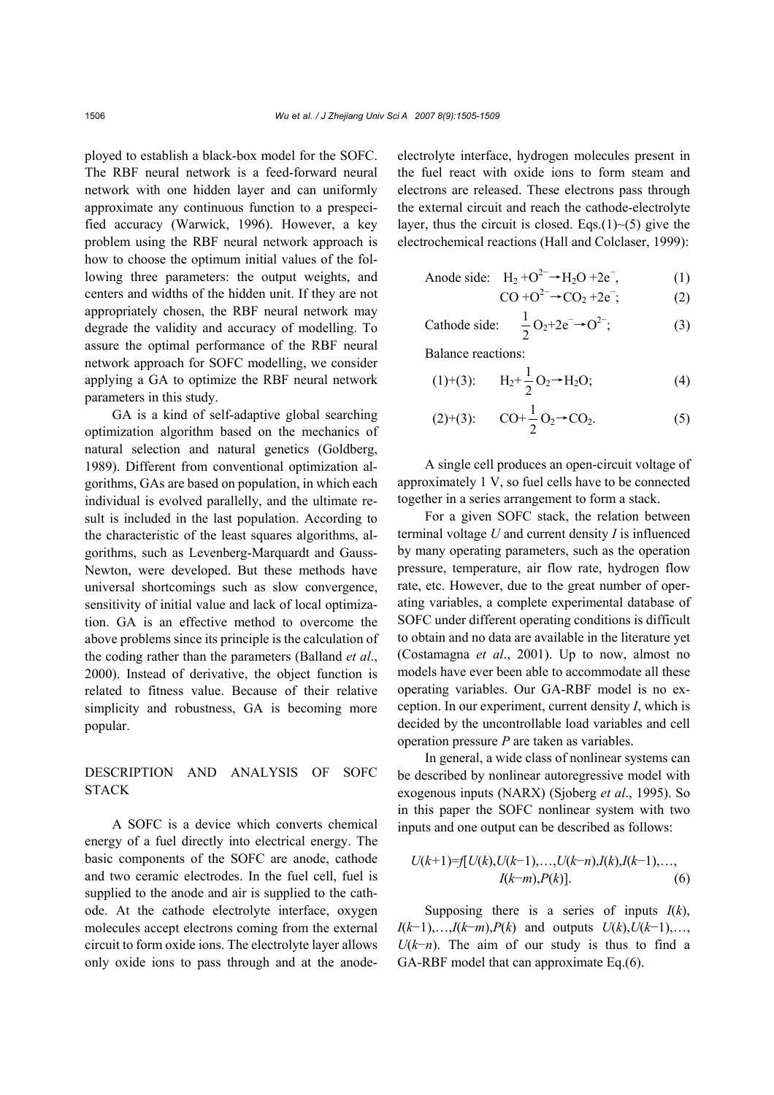ployed to establish a black-box model for the SOFC. The RBF neural network is a feed-forward neural network with one hidden layer and can uniformly approximate any continuous function to a prespecified accuracy (Warwick, 1996). However, a key problem using the RBF neural network approach is how to choose the optimum initial values of the following three parameters: the output weights, and centers and widths of the hidden unit. If they are not appropriately chosen, the RBF neural network may degrade the validity and accuracy of modelling. To assure the optimal performance of the RBF neural network approach for SOFC modelling, we consider applying a GA to optimize the RBF neural network parameters in this study.

GA is a kind of self-adaptive global searching optimization algorithm based on the mechanics of natural selection and natural genetics (Goldberg, 1989). Different from conventional optimization algorithms, GAs are based on population, in which each individual is evolved parallelly, and the ultimate result is included in the last population. According to the characteristic of the least squares algorithms, algorithms, such as Levenberg-Marquardt and Gauss-Newton, were developed. But these methods have universal shortcomings such as slow convergence, sensitivity of initial value and lack of local optimization. GA is an effective method to overcome the above problems since its principle is the calculation of the coding rather than the parameters (Balland *et al*., 2000). Instead of derivative, the object function is related to fitness value. Because of their relative simplicity and robustness, GA is becoming more popular.

# DESCRIPTION AND ANALYSIS OF SOFC **STACK**

A SOFC is a device which converts chemical energy of a fuel directly into electrical energy. The basic components of the SOFC are anode, cathode and two ceramic electrodes. In the fuel cell, fuel is supplied to the anode and air is supplied to the cathode. At the cathode electrolyte interface, oxygen molecules accept electrons coming from the external circuit to form oxide ions. The electrolyte layer allows only oxide ions to pass through and at the anodeelectrolyte interface, hydrogen molecules present in the fuel react with oxide ions to form steam and electrons are released. These electrons pass through the external circuit and reach the cathode-electrolyte layer, thus the circuit is closed. Eqs.(1) $\sim$ (5) give the electrochemical reactions (Hall and Colclaser, 1999):

Anode side: 
$$
H_2 + O^{2-} \rightarrow H_2O + 2e^-
$$
, (1)

$$
CO + O2- \rightarrow CO2 + 2e-; \qquad (2)
$$

Cathode side: 
$$
\frac{1}{2}O_2 + 2e^- \rightarrow O^{2-}
$$
; (3)

Balance reactions:

(1)+(3): 
$$
H_2 + \frac{1}{2}O_2 \rightarrow H_2O;
$$
 (4)

(2)+(3): 
$$
CO + \frac{1}{2}O_2 \rightarrow CO_2.
$$
 (5)

A single cell produces an open-circuit voltage of approximately 1 V, so fuel cells have to be connected together in a series arrangement to form a stack.

For a given SOFC stack, the relation between terminal voltage *U* and current density *I* is influenced by many operating parameters, such as the operation pressure, temperature, air flow rate, hydrogen flow rate, etc. However, due to the great number of operating variables, a complete experimental database of SOFC under different operating conditions is difficult to obtain and no data are available in the literature yet (Costamagna *et al*., 2001). Up to now, almost no models have ever been able to accommodate all these operating variables. Our GA-RBF model is no exception. In our experiment, current density *I*, which is decided by the uncontrollable load variables and cell operation pressure *P* are taken as variables.

In general, a wide class of nonlinear systems can be described by nonlinear autoregressive model with exogenous inputs (NARX) (Sjoberg *et al*., 1995). So in this paper the SOFC nonlinear system with two inputs and one output can be described as follows:

$$
U(k+1)=f[U(k),U(k-1),\ldots,U(k-n),I(k),I(k-1),\ldots,I(k-m),P(k)].
$$
 (6)

Supposing there is a series of inputs *I*(*k*), *I*(*k*−1),…,*I*(*k*−*m*),*P*(*k*) and outputs *U*(*k*),*U*(*k*−1),…,  $U(k-n)$ . The aim of our study is thus to find a GA-RBF model that can approximate Eq.(6).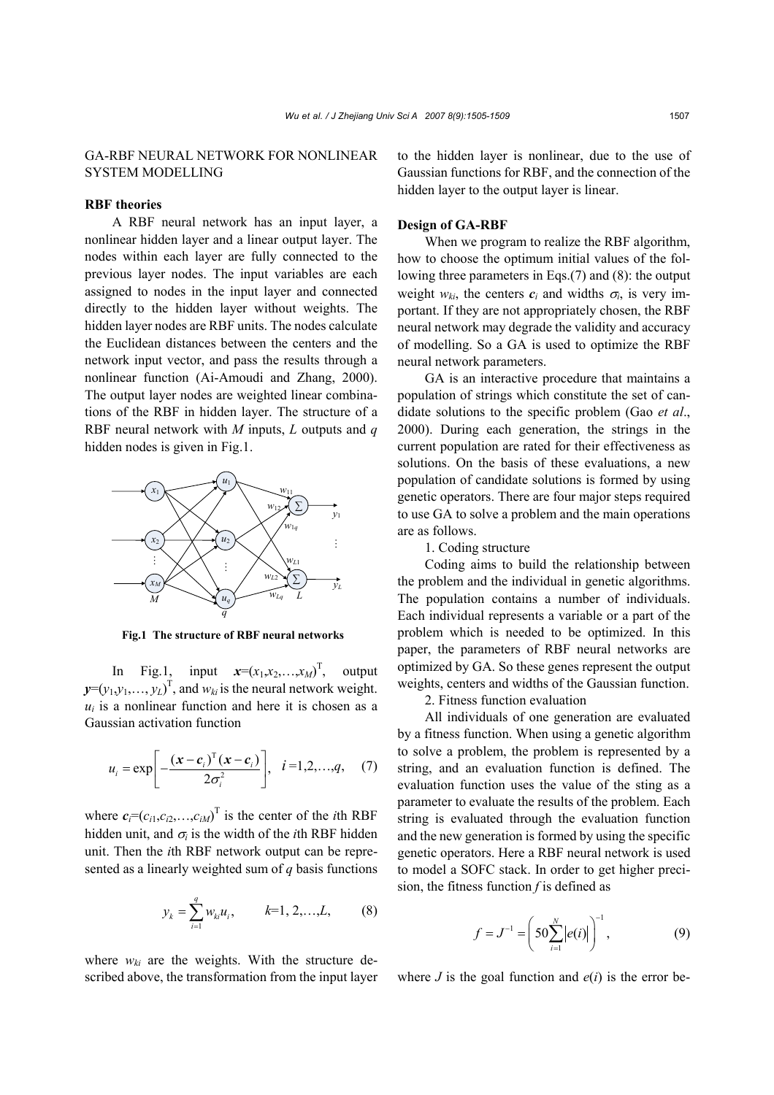# GA-RBF NEURAL NETWORK FOR NONLINEAR SYSTEM MODELLING

## **RBF theories**

A RBF neural network has an input layer, a nonlinear hidden layer and a linear output layer. The nodes within each layer are fully connected to the previous layer nodes. The input variables are each assigned to nodes in the input layer and connected directly to the hidden layer without weights. The hidden layer nodes are RBF units. The nodes calculate the Euclidean distances between the centers and the network input vector, and pass the results through a nonlinear function (Ai-Amoudi and Zhang, 2000). The output layer nodes are weighted linear combinations of the RBF in hidden layer. The structure of a RBF neural network with *M* inputs, *L* outputs and *q* hidden nodes is given in Fig.1.



**Fig.1 The structure of RBF neural networks**

In Fig.1, input  $\mathbf{x}=(x_1,x_2,...,x_M)^T$ , output  $y=(y_1,y_1,...,y_L)^T$ , and  $w_{ki}$  is the neural network weight.  $u_i$  is a nonlinear function and here it is chosen as a Gaussian activation function

$$
u_i = \exp\left[-\frac{(x - c_i)^T (x - c_i)}{2\sigma_i^2}\right], \quad i = 1, 2, ..., q, \quad (7)
$$

where  $c_i = (c_{i1}, c_{i2}, \ldots, c_{iM})$ <sup>T</sup> is the center of the *i*th RBF hidden unit, and  $\sigma_i$  is the width of the *i*th RBF hidden unit. Then the *i*th RBF network output can be represented as a linearly weighted sum of *q* basis functions

$$
y_k = \sum_{i=1}^{q} w_{ki} u_i, \qquad k=1, 2, ..., L,
$$
 (8)

where  $w_{ki}$  are the weights. With the structure described above, the transformation from the input layer to the hidden layer is nonlinear, due to the use of Gaussian functions for RBF, and the connection of the hidden layer to the output layer is linear.

## **Design of GA-RBF**

When we program to realize the RBF algorithm. how to choose the optimum initial values of the following three parameters in Eqs.(7) and (8): the output weight  $w_{ki}$ , the centers  $c_i$  and widths  $\sigma_i$ , is very important. If they are not appropriately chosen, the RBF neural network may degrade the validity and accuracy of modelling. So a GA is used to optimize the RBF neural network parameters.

GA is an interactive procedure that maintains a population of strings which constitute the set of candidate solutions to the specific problem (Gao *et al*., 2000). During each generation, the strings in the current population are rated for their effectiveness as solutions. On the basis of these evaluations, a new population of candidate solutions is formed by using genetic operators. There are four major steps required to use GA to solve a problem and the main operations are as follows.

1. Coding structure

Coding aims to build the relationship between the problem and the individual in genetic algorithms. The population contains a number of individuals. Each individual represents a variable or a part of the problem which is needed to be optimized. In this paper, the parameters of RBF neural networks are optimized by GA. So these genes represent the output weights, centers and widths of the Gaussian function.

2. Fitness function evaluation

All individuals of one generation are evaluated by a fitness function. When using a genetic algorithm to solve a problem, the problem is represented by a string, and an evaluation function is defined. The evaluation function uses the value of the sting as a parameter to evaluate the results of the problem. Each string is evaluated through the evaluation function and the new generation is formed by using the specific genetic operators. Here a RBF neural network is used to model a SOFC stack. In order to get higher precision, the fitness function *f* is defined as

$$
f = J^{-1} = \left(50 \sum_{i=1}^{N} |e(i)|\right)^{-1},\tag{9}
$$

where *J* is the goal function and  $e(i)$  is the error be-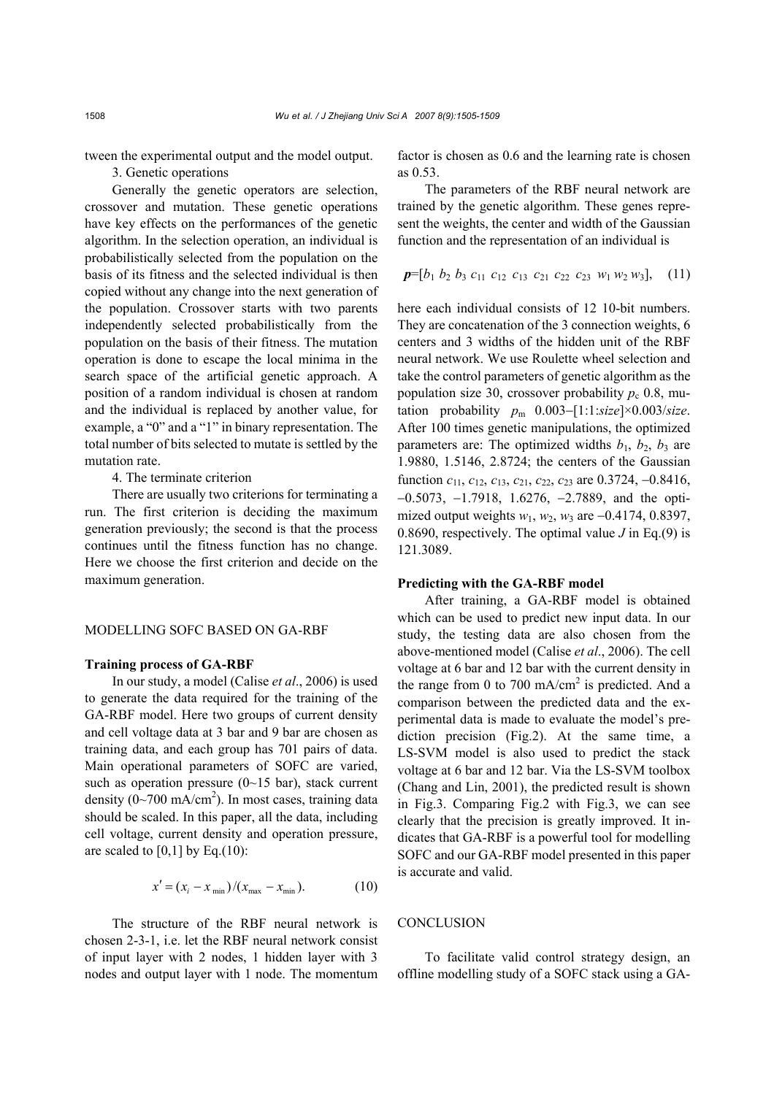tween the experimental output and the model output.

3. Genetic operations

Generally the genetic operators are selection, crossover and mutation. These genetic operations have key effects on the performances of the genetic algorithm. In the selection operation, an individual is probabilistically selected from the population on the basis of its fitness and the selected individual is then copied without any change into the next generation of the population. Crossover starts with two parents independently selected probabilistically from the population on the basis of their fitness. The mutation operation is done to escape the local minima in the search space of the artificial genetic approach. A position of a random individual is chosen at random and the individual is replaced by another value, for example, a "0" and a "1" in binary representation. The total number of bits selected to mutate is settled by the mutation rate.

4. The terminate criterion

There are usually two criterions for terminating a run. The first criterion is deciding the maximum generation previously; the second is that the process continues until the fitness function has no change. Here we choose the first criterion and decide on the maximum generation.

#### MODELLING SOFC BASED ON GA-RBF

## **Training process of GA-RBF**

In our study, a model (Calise *et al*., 2006) is used to generate the data required for the training of the GA-RBF model. Here two groups of current density and cell voltage data at 3 bar and 9 bar are chosen as training data, and each group has 701 pairs of data. Main operational parameters of SOFC are varied, such as operation pressure  $(0\nu 15$  bar), stack current density  $(0 \sim 700 \text{ mA/cm}^2)$ . In most cases, training data should be scaled. In this paper, all the data, including cell voltage, current density and operation pressure, are scaled to  $[0,1]$  by Eq.(10):

$$
x' = (x_i - x_{\min})/(x_{\max} - x_{\min}).
$$
 (10)

The structure of the RBF neural network is chosen 2-3-1, i.e. let the RBF neural network consist of input layer with 2 nodes, 1 hidden layer with 3 nodes and output layer with 1 node. The momentum factor is chosen as 0.6 and the learning rate is chosen as 0.53.

The parameters of the RBF neural network are trained by the genetic algorithm. These genes represent the weights, the center and width of the Gaussian function and the representation of an individual is

$$
p=[b_1 \; b_2 \; b_3 \; c_{11} \; c_{12} \; c_{13} \; c_{21} \; c_{22} \; c_{23} \; w_1 \; w_2 \; w_3], \quad (11)
$$

here each individual consists of 12 10-bit numbers. They are concatenation of the 3 connection weights, 6 centers and 3 widths of the hidden unit of the RBF neural network. We use Roulette wheel selection and take the control parameters of genetic algorithm as the population size 30, crossover probability  $p_c$  0.8, mutation probability *p*<sup>m</sup> 0.003−[1:1:*size*]×0.003/*size*. After 100 times genetic manipulations, the optimized parameters are: The optimized widths  $b_1$ ,  $b_2$ ,  $b_3$  are 1.9880, 1.5146, 2.8724; the centers of the Gaussian function *c*11, *c*12, *c*13, *c*21, *c*22, *c*23 are 0.3724, −0.8416, −0.5073, −1.7918, 1.6276, −2.7889, and the optimized output weights *w*<sub>1</sub>, *w*<sub>2</sub>, *w*<sub>3</sub> are −0.4174, 0.8397, 0.8690, respectively. The optimal value *J* in Eq.(9) is 121.3089.

#### **Predicting with the GA-RBF model**

After training, a GA-RBF model is obtained which can be used to predict new input data. In our study, the testing data are also chosen from the above-mentioned model (Calise *et al*., 2006). The cell voltage at 6 bar and 12 bar with the current density in the range from 0 to 700 mA/cm<sup>2</sup> is predicted. And a comparison between the predicted data and the experimental data is made to evaluate the model's prediction precision (Fig.2). At the same time, a LS-SVM model is also used to predict the stack voltage at 6 bar and 12 bar. Via the LS-SVM toolbox (Chang and Lin, 2001), the predicted result is shown in Fig.3. Comparing Fig.2 with Fig.3, we can see clearly that the precision is greatly improved. It indicates that GA-RBF is a powerful tool for modelling SOFC and our GA-RBF model presented in this paper is accurate and valid.

## **CONCLUSION**

To facilitate valid control strategy design, an offline modelling study of a SOFC stack using a GA-